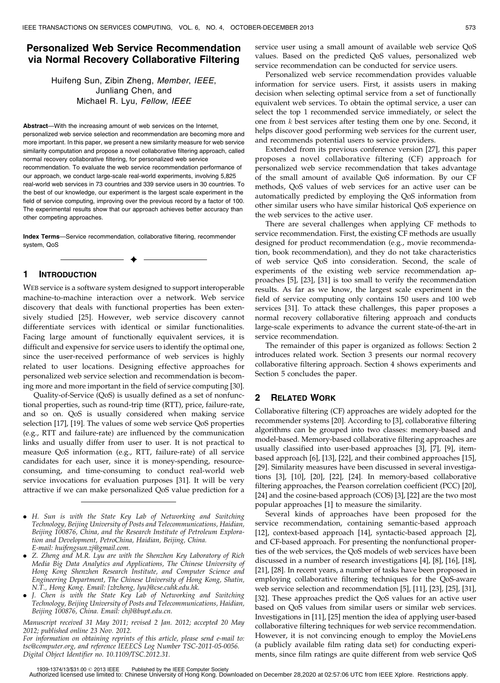# Personalized Web Service Recommendation via Normal Recovery Collaborative Filtering

Huifeng Sun, Zibin Zheng, Member, IEEE, Junliang Chen, and Michael R. Lyu, Fellow, IEEE

Abstract—With the increasing amount of web services on the Internet, personalized web service selection and recommendation are becoming more and more important. In this paper, we present a new similarity measure for web service

similarity computation and propose a novel collaborative filtering approach, called normal recovery collaborative filtering, for personalized web service recommendation. To evaluate the web service recommendation performance of our approach, we conduct large-scale real-world experiments, involving 5,825 real-world web services in 73 countries and 339 service users in 30 countries. To the best of our knowledge, our experiment is the largest scale experiment in the field of service computing, improving over the previous record by a factor of 100. The experimental results show that our approach achieves better accuracy than other competing approaches.

Index Terms—Service recommendation, collaborative filtering, recommender system, QoS

 $\ddotmark$ 

# 1 INTRODUCTION

WEB service is a software system designed to support interoperable machine-to-machine interaction over a network. Web service discovery that deals with functional properties has been extensively studied [25]. However, web service discovery cannot differentiate services with identical or similar functionalities. Facing large amount of functionally equivalent services, it is difficult and expensive for service users to identify the optimal one, since the user-received performance of web services is highly related to user locations. Designing effective approaches for personalized web service selection and recommendation is becoming more and more important in the field of service computing [30].

Quality-of-Service (QoS) is usually defined as a set of nonfunctional properties, such as round-trip time (RTT), price, failure-rate, and so on. QoS is usually considered when making service selection [17], [19]. The values of some web service QoS properties (e.g., RTT and failure-rate) are influenced by the communication links and usually differ from user to user. It is not practical to measure QoS information (e.g., RTT, failure-rate) of all service candidates for each user, since it is money-spending, resourceconsuming, and time-consuming to conduct real-world web service invocations for evaluation purposes [31]. It will be very attractive if we can make personalized QoS value prediction for a

. J. Chen is with the State Key Lab of Networking and Switching Technology, Beijing University of Posts and Telecommunications, Haidian, Beijing 100876, China. Email: chjl@bupt.edu.cn.

Manuscript received 31 May 2011; revised 2 Jan. 2012; accepted 20 May 2012; published online 23 Nov. 2012.

For information on obtaining reprints of this article, please send e-mail to: tsc@computer.org, and reference IEEECS Log Number TSC-2011-05-0056. Digital Object Identifier no. 10.1109/TSC.2012.31.

service user using a small amount of available web service QoS values. Based on the predicted QoS values, personalized web service recommendation can be conducted for service users.

Personalized web service recommendation provides valuable information for service users. First, it assists users in making decision when selecting optimal service from a set of functionally equivalent web services. To obtain the optimal service, a user can select the top 1 recommended service immediately, or select the one from k best services after testing them one by one. Second, it helps discover good performing web services for the current user, and recommends potential users to service providers.

Extended from its previous conference version [27], this paper proposes a novel collaborative filtering (CF) approach for personalized web service recommendation that takes advantage of the small amount of available QoS information. By our CF methods, QoS values of web services for an active user can be automatically predicted by employing the QoS information from other similar users who have similar historical QoS experience on the web services to the active user.

There are several challenges when applying CF methods to service recommendation. First, the existing CF methods are usually designed for product recommendation (e.g., movie recommendation, book recommendation), and they do not take characteristics of web service QoS into consideration. Second, the scale of experiments of the existing web service recommendation approaches [5], [23], [31] is too small to verify the recommendation results. As far as we know, the largest scale experiment in the field of service computing only contains 150 users and 100 web services [31]. To attack these challenges, this paper proposes a normal recovery collaborative filtering approach and conducts large-scale experiments to advance the current state-of-the-art in service recommendation.

The remainder of this paper is organized as follows: Section 2 introduces related work. Section 3 presents our normal recovery collaborative filtering approach. Section 4 shows experiments and Section 5 concludes the paper.

# 2 RELATED WORK

Collaborative filtering (CF) approaches are widely adopted for the recommender systems [20]. According to [3], collaborative filtering algorithms can be grouped into two classes: memory-based and model-based. Memory-based collaborative filtering approaches are usually classified into user-based approaches [3], [7], [9], itembased approach [6], [13], [22], and their combined approaches [15], [29]. Similarity measures have been discussed in several investigations [3], [10], [20], [22], [24]. In memory-based collaborative filtering approaches, the Pearson correlation coefficient (PCC) [20], [24] and the cosine-based approach (COS) [3], [22] are the two most popular approaches [1] to measure the similarity.

Several kinds of approaches have been proposed for the service recommendation, containing semantic-based approach [12], context-based approach [14], syntactic-based approach [2], and CF-based approach. For presenting the nonfunctional properties of the web services, the QoS models of web services have been discussed in a number of research investigations [4], [8], [16], [18], [21], [28]. In recent years, a number of tasks have been proposed in employing collaborative filtering techniques for the QoS-aware web service selection and recommendation [5], [11], [23], [25], [31], [32]. These approaches predict the QoS values for an active user based on QoS values from similar users or similar web services. Investigations in [11], [25] mention the idea of applying user-based collaborative filtering techniques for web service recommendation. However, it is not convincing enough to employ the MovieLens (a publicly available film rating data set) for conducting experiments, since film ratings are quite different from web service QoS

<sup>.</sup> H. Sun is with the State Key Lab of Networking and Switching Technology, Beijing University of Posts and Telecommunications, Haidian, Beijing 100876, China, and the Research Institute of Petroleum Exploration and Development, PetroChina, Haidian, Beijing, China. E-mail: huifengsun.zj@gmail.com.

<sup>.</sup> Z. Zheng and M.R. Lyu are with the Shenzhen Key Laboratory of Rich Media Big Data Analytics and Applications, The Chinese University of Hong Kong Shenzhen Research Institute, and Computer Science and Engineering Department, The Chinese University of Hong Kong, Shatin, N.T., Hong Kong. Email: {zbzheng, lyu}@cse.cuhk.edu.hk.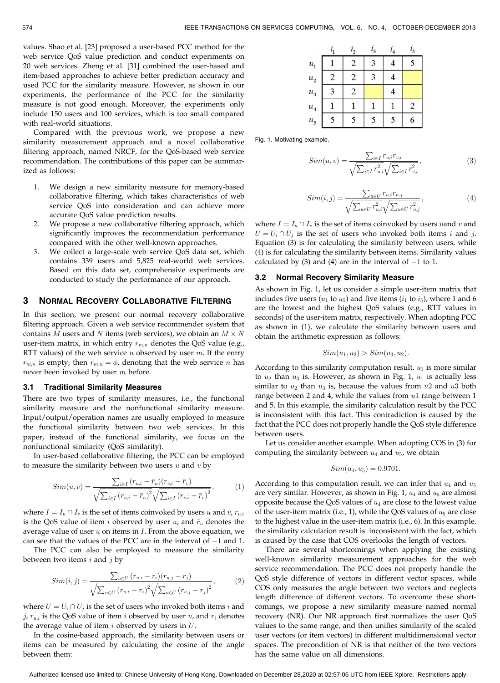values. Shao et al. [23] proposed a user-based PCC method for the web service QoS value prediction and conduct experiments on 20 web services. Zheng et al. [31] combined the user-based and item-based approaches to achieve better prediction accuracy and used PCC for the similarity measure. However, as shown in our experiments, the performance of the PCC for the similarity measure is not good enough. Moreover, the experiments only include 150 users and 100 services, which is too small compared with real-world situations.

Compared with the previous work, we propose a new similarity measurement approach and a novel collaborative filtering approach, named NRCF, for the QoS-based web service recommendation. The contributions of this paper can be summarized as follows:

- 1. We design a new similarity measure for memory-based collaborative filtering, which takes characteristics of web service QoS into consideration and can achieve more accurate QoS value prediction results.
- 2. We propose a new collaborative filtering approach, which significantly improves the recommendation performance compared with the other well-known approaches.
- 3. We collect a large-scale web service QoS data set, which contains 339 users and 5,825 real-world web services. Based on this data set, comprehensive experiments are conducted to study the performance of our approach.

# 3 NORMAL RECOVERY COLLABORATIVE FILTERING

In this section, we present our normal recovery collaborative filtering approach. Given a web service recommender system that contains M users and N items (web services), we obtain an  $M \times N$ user-item matrix, in which entry  $r_{m,n}$  denotes the QoS value (e.g., RTT values) of the web service  $n$  observed by user  $m$ . If the entry  $r_{m,n}$  is empty, then  $r_{m,n} = \phi$ , denoting that the web service n has never been invoked by user m before.

### 3.1 Traditional Similarity Measures

There are two types of similarity measures, i.e., the functional similarity measure and the nonfunctional similarity measure. Input/output/operation names are usually employed to measure the functional similarity between two web services. In this paper, instead of the functional similarity, we focus on the nonfunctional similarity (QoS similarity).

In user-based collaborative filtering, the PCC can be employed to measure the similarity between two users  $u$  and  $v$  by

$$
Sim(u, v) = \frac{\sum_{i \in I} (r_{u,i} - \bar{r}_u)(r_{v,i} - \bar{r}_v)}{\sqrt{\sum_{i \in I} (r_{u,i} - \bar{r}_u)^2} \sqrt{\sum_{i \in I} (r_{v,i} - \bar{r}_v)^2}},
$$
(1)

where  $I = I_u \cap I_v$  is the set of items coinvoked by users u and v,  $r_{u,i}$ is the QoS value of item i observed by user  $u$ , and  $\bar{r}_u$  denotes the average value of user  $u$  on items in  $I$ . From the above equation, we can see that the values of the PCC are in the interval of  $-1$  and 1.

The PCC can also be employed to measure the similarity between two items  $i$  and  $j$  by

$$
Sim(i, j) = \frac{\sum_{u \in U} (r_{u,i} - \bar{r}_i)(r_{u,j} - \bar{r}_j)}{\sqrt{\sum_{u \in U} (r_{u,i} - \bar{r}_i)^2} \sqrt{\sum_{u \in U} (r_{u,j} - \bar{r}_j)^2}},
$$
(2)

where  $U = U_i \cap U_j$  is the set of users who invoked both items *i* and j,  $r_{u,i}$  is the QoS value of item i observed by user u, and  $\bar{r}_i$  denotes the average value of item  $i$  observed by users in  $U$ .

In the cosine-based approach, the similarity between users or items can be measured by calculating the cosine of the angle between them:

|                    |   | $i_{2}$        | $i_3$ | $i_4$ | $i_{5}$        |
|--------------------|---|----------------|-------|-------|----------------|
| $\mathcal{U}_1$    |   | $\overline{c}$ | 3     | 4     | 5              |
| $\boldsymbol{u}_2$ | 2 | 2              | 3     | 4     |                |
| $\mathcal{U}_3$    | 3 | $\mathbf{2}$   |       | 4     |                |
| $\mathcal{U}_4$    |   |                |       |       | $\overline{c}$ |
| u <sub>5</sub>     | 5 | 5              | 5     | 5     | 6              |

Fig. 1. Motivating example.

$$
Sim(u, v) = \frac{\sum_{i \in I} r_{u,i} r_{v,i}}{\sqrt{\sum_{i \in I} r_{u,i}^2} \sqrt{\sum_{i \in I} r_{v,i}^2}},
$$
\n(3)

$$
Sim(i, j) = \frac{\sum_{u \in U} r_{u,i} r_{u,j}}{\sqrt{\sum_{u \in U} r_{u,i}^2} \sqrt{\sum_{u \in U} r_{u,j}^2}},
$$
\n(4)

where  $I = I_u \cap I_v$  is the set of items coinvoked by users uand v and  $U = U_i \cap U_j$  is the set of users who invoked both items i and j. Equation (3) is for calculating the similarity between users, while (4) is for calculating the similarity between items. Similarity values calculated by (3) and (4) are in the interval of  $-1$  to 1.

# 3.2 Normal Recovery Similarity Measure

As shown in Fig. 1, let us consider a simple user-item matrix that includes five users  $(u_1$  to  $u_5$ ) and five items  $(i_1$  to  $i_5)$ , where 1 and 6 are the lowest and the highest QoS values (e.g., RTT values in seconds) of the user-item matrix, respectively. When adopting PCC as shown in (1), we calculate the similarity between users and obtain the arithmetic expression as follows:

$$
Sim(u1, u2) > Sim(u3, u2).
$$

According to this similarity computation result,  $u_1$  is more similar to  $u_2$  than  $u_3$  is. However, as shown in Fig. 1,  $u_1$  is actually less similar to  $u_2$  than  $u_3$  is, because the values from  $u_2$  and  $u_3$  both range between 2 and 4, while the values from  $u1$  range between 1 and 5. In this example, the similarity calculation result by the PCC is inconsistent with this fact. This contradiction is caused by the fact that the PCC does not properly handle the QoS style difference between users.

Let us consider another example. When adopting COS in (3) for computing the similarity between  $u_4$  and  $u_5$ , we obtain

$$
Sim(u_4, u_5) = 0.9701.
$$

According to this computation result, we can infer that  $u_4$  and  $u_5$ are very similar. However, as shown in Fig. 1,  $u_4$  and  $u_5$  are almost opposite because the QoS values of  $u_4$  are close to the lowest value of the user-item matrix (i.e., 1), while the QoS values of  $u_5$  are close to the highest value in the user-item matrix (i.e., 6). In this example, the similarity calculation result is inconsistent with the fact, which is caused by the case that COS overlooks the length of vectors.

There are several shortcomings when applying the existing well-known similarity measurement approaches for the web service recommendation. The PCC does not properly handle the QoS style difference of vectors in different vector spaces, while COS only measures the angle between two vectors and neglects length difference of different vectors. To overcome these shortcomings, we propose a new similarity measure named normal recovery (NR). Our NR approach first normalizes the user QoS values to the same range, and then unifies similarity of the scaled user vectors (or item vectors) in different multidimensional vector spaces. The precondition of NR is that neither of the two vectors has the same value on all dimensions.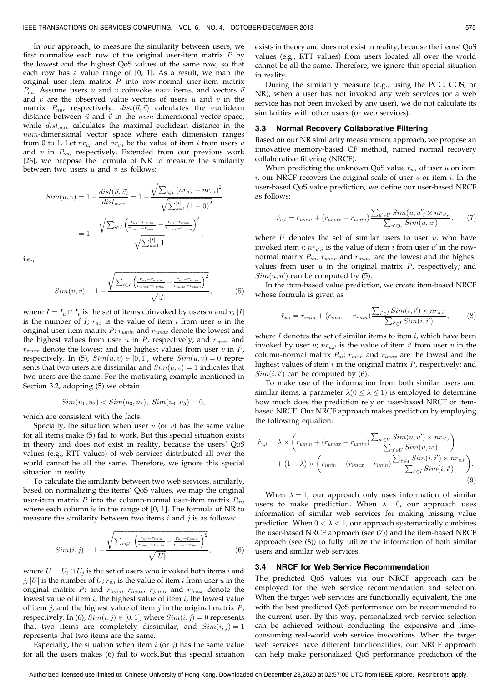In our approach, to measure the similarity between users, we first normalize each row of the original user-item matrix  $P$  by the lowest and the highest QoS values of the same row, so that each row has a value range of [0, 1]. As a result, we map the original user-item matrix  $P$  into row-normal user-item matrix  $P_{nu}$ . Assume users u and v coinvoke num items, and vectors  $\vec{u}$ and  $\vec{v}$  are the observed value vectors of users u and v in the matrix  $P_{nu}$ , respectively.  $dist(\vec{u}, \vec{v})$  calculates the euclidean distance between  $\vec{u}$  and  $\vec{v}$  in the num-dimensional vector space, while  $dist_{max}$  calculates the maximal euclidean distance in the num-dimensional vector space where each dimension ranges from 0 to 1. Let  $nr_{u,i}$  and  $nr_{v,i}$  be the value of item *i* from users *u* and  $v$  in  $P_{nu}$ , respectively. Extended from our previous work [26], we propose the formula of NR to measure the similarity between two users  $u$  and  $v$  as follows:

$$
Sim(u, v) = 1 - \frac{dist(\vec{u}, \vec{v})}{dist_{max}} = 1 - \frac{\sqrt{\sum_{i \in I} (nr_{u,i} - nr_{v,i})^2}}{\sqrt{\sum_{k=1}^{|I|} (1-0)^2}}
$$

$$
= 1 - \frac{\sqrt{\sum_{i \in I} (\frac{r_{u,i} - r_{min}}{r_{max} - r_{min}} - \frac{r_{v,i} - r_{min}}{r_{max} - r_{min}})^2}}{\sqrt{\sum_{k=1}^{|I|} 1}},
$$

i.e.,

$$
Sim(u, v) = 1 - \frac{\sqrt{\sum_{i \in I} \left( \frac{r_{u,i} - r_{wmin}}{r_{wmax} - r_{wmin}} - \frac{r_{v,i} - r_{wmin}}{r_{wmax} - r_{wmin}} \right)^2}}{\sqrt{|I|}},
$$
(5)

where  $I = I_u \cap I_v$  is the set of items coinvoked by users u and v; |I| is the number of I;  $r_{u,i}$  is the value of item i from user u in the original user-item matrix  $P$ ;  $r_{umin}$  and  $r_{umax}$  denote the lowest and the highest values from user  $u$  in  $P$ , respectively; and  $r_{vmin}$  and  $r_{vmax}$  denote the lowest and the highest values from user  $v$  in  $P$ , respectively. In (5),  $Sim(u, v) \in [0, 1]$ , where  $Sim(u, v) = 0$  represents that two users are dissimilar and  $Sim(u, v) = 1$  indicates that two users are the same. For the motivating example mentioned in Section 3.2, adopting (5) we obtain

$$
Sim(u_1, u_2) < Sim(u_3, u_2), \quad Sim(u_4, u_5) = 0,
$$

which are consistent with the facts.

Specially, the situation when user  $u$  (or  $v$ ) has the same value for all items make (5) fail to work. But this special situation exists in theory and does not exist in reality, because the users' QoS values (e.g., RTT values) of web services distributed all over the world cannot be all the same. Therefore, we ignore this special situation in reality.

To calculate the similarity between two web services, similarly, based on normalizing the items' QoS values, we map the original user-item matrix  $P$  into the column-normal user-item matrix  $P_{ni}$ , where each column is in the range of [0, 1]. The formula of NR to measure the similarity between two items  $i$  and  $j$  is as follows:

$$
Sim(i, j) = 1 - \frac{\sqrt{\sum_{u \in U} \left( \frac{r_{u,i} - r_{imin}}{r_{imax} - r_{imin}} - \frac{r_{u,j} - r_{jmin}}{r_{jmax} - r_{jmin}} \right)^2}}{\sqrt{|U|}},
$$
(6)

where  $U = U_i \cap U_j$  is the set of users who invoked both items i and j; |U| is the number of U;  $r_{u,i}$  is the value of item i from user u in the original matrix  $P$ ; and  $r_{imin}$ ,  $r_{imax}$ ,  $r_{jmin}$ , and  $r_{jmax}$  denote the lowest value of item  $i$ , the highest value of item  $i$ , the lowest value of item  $j$ , and the highest value of item  $j$  in the original matrix  $P$ , respectively. In (6),  $Sim(i, j) \in [0, 1]$ , where  $Sim(i, j) = 0$  represents that two items are completely dissimilar, and  $Sim(i, j) = 1$ represents that two items are the same.

Especially, the situation when item  $i$  (or  $j$ ) has the same value for all the users makes (6) fail to work.But this special situation exists in theory and does not exist in reality, because the items' QoS values (e.g., RTT values) from users located all over the world cannot be all the same. Therefore, we ignore this special situation in reality.

During the similarity measure (e.g., using the PCC, COS, or NR), when a user has not invoked any web services (or a web service has not been invoked by any user), we do not calculate its similarities with other users (or web services).

#### 3.3 Normal Recovery Collaborative Filtering

Based on our NR similarity measurement approach, we propose an innovative memory-based CF method, named normal recovery collaborative filtering (NRCF).

When predicting the unknown QoS value  $\hat{r}_{u,i}$  of user u on item  $i$ , our NRCF recovers the original scale of user  $u$  or item  $i$ . In the user-based QoS value prediction, we define our user-based NRCF as follows:

$$
\hat{r}_{u,i} = r_{umin} + (r_{umax} - r_{umin}) \frac{\sum_{u' \in U} Sim(u, u') \times n r_{u',i}}{\sum_{u' \in U} Sim(u, u')} , \qquad (7)
$$

where  $U$  denotes the set of similar users to user  $u$ , who have invoked item *i*;  $nr_{u',i}$  is the value of item *i* from user  $u'$  in the rownormal matrix  $P_{nu}$ ;  $r_{umin}$  and  $r_{umax}$  are the lowest and the highest values from user  $u$  in the original matrix  $P$ , respectively; and  $Sim(u, u')$  can be computed by (5).

In the item-based value prediction, we create item-based NRCF whose formula is given as

$$
\hat{r}_{u,i} = r_{imin} + (r_{imax} - r_{imin}) \frac{\sum_{i' \in I} Sim(i, i') \times n r_{u,i'}}{\sum_{i' \in I} Sim(i, i')} , \qquad (8)
$$

where  $I$  denotes the set of similar items to item  $i$ , which have been invoked by user u;  $nr_{u,i'}$  is the value of item i' from user u in the column-normal matrix  $P_{ni}$ ;  $r_{imin}$  and  $r_{imax}$  are the lowest and the highest values of item  $i$  in the original matrix  $P$ , respectively; and  $Sim(i, i')$  can be computed by (6).

To make use of the information from both similar users and similar items, a parameter  $\lambda(0 \leq \lambda \leq 1)$  is employed to determine how much does the prediction rely on user-based NRCF or itembased NRCF. Our NRCF approach makes prediction by employing the following equation:

$$
\hat{r}_{u,i} = \lambda \times \left( r_{umin} + (r_{umax} - r_{umin}) \frac{\sum_{u' \in U} Sim(u, u') \times n r_{u',i}}{\sum_{u' \in U} Sim(u, u')} \right) + (1 - \lambda) \times \left( r_{imin} + (r_{imax} - r_{imin}) \frac{\sum_{i' \in I} Sim(i, i') \times n r_{u,i'}}{\sum_{i' \in I} Sim(i, i')} \right).
$$
\n(9)

When  $\lambda = 1$ , our approach only uses information of similar users to make prediction. When  $\lambda = 0$ , our approach uses information of similar web services for making missing value prediction. When  $0 < \lambda < 1$ , our approach systematically combines the user-based NRCF approach (see (7)) and the item-based NRCF approach (see (8)) to fully utilize the information of both similar users and similar web services.

### 3.4 NRCF for Web Service Recommendation

The predicted QoS values via our NRCF approach can be employed for the web service recommendation and selection. When the target web services are functionally equivalent, the one with the best predicted QoS performance can be recommended to the current user. By this way, personalized web service selection can be achieved without conducting the expensive and timeconsuming real-world web service invocations. When the target web services have different functionalities, our NRCF approach can help make personalized QoS performance prediction of the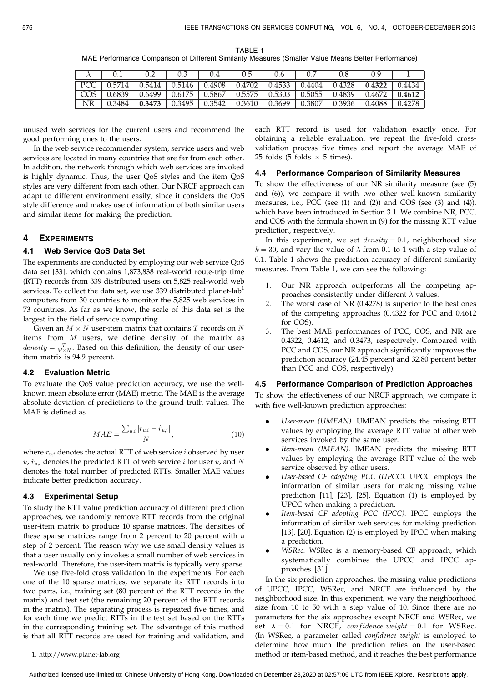TABLE 1 MAE Performance Comparison of Different Similarity Measures (Smaller Value Means Better Performance)

|       |        |        |        | 0.4    |        | 0.6    | 0.7    |        | 0.9    |        |
|-------|--------|--------|--------|--------|--------|--------|--------|--------|--------|--------|
| PCC . | 0.5714 | 0.5414 | 0.5146 | 0.4908 | 0.4702 | 0.4533 | 0.4404 | 0.4328 | 0.4322 | 0.4434 |
| COS   | 0.6839 | 0.6499 | 0.6175 | 0.5867 | 0.5575 | 0.5303 | 0.5055 | 0.4839 | 0.4672 | 0.4612 |
| NR    | 0.3484 | 0.3473 | 0.3495 | 0.3542 | 0.3610 | 0.3699 | 0.3807 | 0.3936 | 0.4088 | 0.4278 |

unused web services for the current users and recommend the good performing ones to the users.

In the web service recommender system, service users and web services are located in many countries that are far from each other. In addition, the network through which web services are invoked is highly dynamic. Thus, the user QoS styles and the item QoS styles are very different from each other. Our NRCF approach can adapt to different environment easily, since it considers the QoS style difference and makes use of information of both similar users and similar items for making the prediction.

### 4 EXPERIMENTS

# 4.1 Web Service QoS Data Set

The experiments are conducted by employing our web service QoS data set [33], which contains 1,873,838 real-world route-trip time (RTT) records from 339 distributed users on 5,825 real-world web services. To collect the data set, we use 339 distributed planet-lab<sup>1</sup> computers from 30 countries to monitor the 5,825 web services in 73 countries. As far as we know, the scale of this data set is the largest in the field of service computing.

Given an  $M \times N$  user-item matrix that contains  $T$  records on  $N$ items from M users, we define density of the matrix as  $density = \frac{T}{M \times N}$ . Based on this definition, the density of our useritem matrix is 94.9 percent.

#### 4.2 Evaluation Metric

To evaluate the QoS value prediction accuracy, we use the wellknown mean absolute error (MAE) metric. The MAE is the average absolute deviation of predictions to the ground truth values. The MAE is defined as

$$
MAE = \frac{\sum_{u,i} |r_{u,i} - \hat{r}_{u,i}|}{N},
$$
\n(10)

where  $r_{u,i}$  denotes the actual RTT of web service *i* observed by user  $u, \hat{r}_{ui}$  denotes the predicted RTT of web service i for user u, and N denotes the total number of predicted RTTs. Smaller MAE values indicate better prediction accuracy.

# 4.3 Experimental Setup

To study the RTT value prediction accuracy of different prediction approaches, we randomly remove RTT records from the original user-item matrix to produce 10 sparse matrices. The densities of these sparse matrices range from 2 percent to 20 percent with a step of 2 percent. The reason why we use small density values is that a user usually only invokes a small number of web services in real-world. Therefore, the user-item matrix is typically very sparse.

We use five-fold cross validation in the experiments. For each one of the 10 sparse matrices, we separate its RTT records into two parts, i.e., training set (80 percent of the RTT records in the matrix) and test set (the remaining 20 percent of the RTT records in the matrix). The separating process is repeated five times, and for each time we predict RTTs in the test set based on the RTTs in the corresponding training set. The advantage of this method is that all RTT records are used for training and validation, and

1. http://www.planet-lab.org

each RTT record is used for validation exactly once. For obtaining a reliable evaluation, we repeat the five-fold crossvalidation process five times and report the average MAE of 25 folds (5 folds  $\times$  5 times).

# 4.4 Performance Comparison of Similarity Measures

To show the effectiveness of our NR similarity measure (see (5) and (6)), we compare it with two other well-known similarity measures, i.e., PCC (see (1) and (2)) and COS (see (3) and (4)), which have been introduced in Section 3.1. We combine NR, PCC, and COS with the formula shown in (9) for the missing RTT value prediction, respectively.

In this experiment, we set  $density = 0.1$ , neighborhood size  $k = 30$ , and vary the value of  $\lambda$  from 0.1 to 1 with a step value of 0.1. Table 1 shows the prediction accuracy of different similarity measures. From Table 1, we can see the following:

- 1. Our NR approach outperforms all the competing approaches consistently under different  $\lambda$  values.
- The worst case of NR  $(0.4278)$  is superior to the best ones of the competing approaches (0.4322 for PCC and 0.4612 for COS).
- 3. The best MAE performances of PCC, COS, and NR are 0.4322, 0.4612, and 0.3473, respectively. Compared with PCC and COS, our NR approach significantly improves the prediction accuracy (24.45 percent and 32.80 percent better than PCC and COS, respectively).

# 4.5 Performance Comparison of Prediction Approaches

To show the effectiveness of our NRCF approach, we compare it with five well-known prediction approaches:

- . User-mean (UMEAN). UMEAN predicts the missing RTT values by employing the average RTT value of other web services invoked by the same user.
- . Item-mean (IMEAN). IMEAN predicts the missing RTT values by employing the average RTT value of the web service observed by other users.
- . User-based CF adopting PCC (UPCC). UPCC employs the information of similar users for making missing value prediction [11], [23], [25]. Equation (1) is employed by UPCC when making a prediction.
- . Item-based CF adopting PCC (IPCC). IPCC employs the information of similar web services for making prediction [13], [20]. Equation (2) is employed by IPCC when making a prediction.
- . WSRec. WSRec is a memory-based CF approach, which systematically combines the UPCC and IPCC approaches [31].

In the six prediction approaches, the missing value predictions of UPCC, IPCC, WSRec, and NRCF are influenced by the neighborhood size. In this experiment, we vary the neighborhood size from 10 to 50 with a step value of 10. Since there are no parameters for the six approaches except NRCF and WSRec, we set  $\lambda = 0.1$  for NRCF, confidence weight = 0.1 for WSRec. (In WSRec, a parameter called confidence weight is employed to determine how much the prediction relies on the user-based method or item-based method, and it reaches the best performance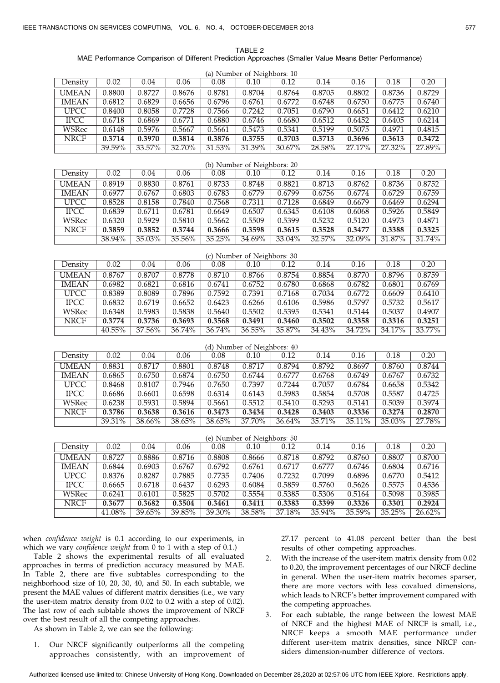TABLE 2 MAE Performance Comparison of Different Prediction Approaches (Smaller Value Means Better Performance)

| (a) Number of Neighbors: 10 |        |                    |        |        |                             |        |        |        |        |        |
|-----------------------------|--------|--------------------|--------|--------|-----------------------------|--------|--------|--------|--------|--------|
| Density                     | 0.02   | 0.04               | 0.06   | 0.08   | 0.10                        | 0.12   | 0.14   | 0.16   | 0.18   | 0.20   |
| <b>UMEAN</b>                | 0.8800 | 0.8727             | 0.8676 | 0.8781 | 0.8704                      | 0.8764 | 0.8705 | 0.8802 | 0.8736 | 0.8729 |
| <b>IMEAN</b>                | 0.6812 | 0.6829             | 0.6656 | 0.6796 | 0.6761                      | 0.6772 | 0.6748 | 0.6750 | 0.6775 | 0.6740 |
| <b>UPCC</b>                 | 0.8400 | 0.8058             | 0.7728 | 0.7566 | 0.7242                      | 0.7051 | 0.6790 | 0.6651 | 0.6412 | 0.6210 |
| <b>IPCC</b>                 | 0.6718 | 0.6869             | 0.6771 | 0.6880 | 0.6746                      | 0.6680 | 0.6512 | 0.6452 | 0.6405 | 0.6214 |
| <b>WSRec</b>                | 0.6148 | 0.5976             | 0.5667 | 0.5661 | 0.5473                      | 0.5341 | 0.5199 | 0.5075 | 0.4971 | 0.4815 |
| <b>NRCF</b>                 | 0.3714 | 0.3970             | 0.3814 | 0.3876 | 0.3755                      | 0.3703 | 0.3713 | 0.3696 | 0.3613 | 0.3472 |
|                             | 39.59% | 33.57%             | 32.70% | 31.53% | 31.39%                      | 30.67% | 28.58% | 27.17% | 27.32% | 27.89% |
|                             |        |                    |        |        | (b) Number of Neighbors: 20 |        |        |        |        |        |
| Density                     | 0.02   | 0.04               | 0.06   | 0.08   | 0.10                        | 0.12   | 0.14   | 0.16   | 0.18   | 0.20   |
| <b>UMEAN</b>                | 0.8919 | 0.8830             | 0.8761 | 0.8733 | 0.8748                      | 0.8821 | 0.8713 | 0.8762 | 0.8736 | 0.8752 |
| <b>IMEAN</b>                | 0.6977 | 0.6767             | 0.6803 | 0.6783 | 0.6779                      | 0.6799 | 0.6756 | 0.6774 | 0.6729 | 0.6759 |
| <b>UPCC</b>                 | 0.8528 | 0.8158             | 0.7840 | 0.7568 | 0.7311                      | 0.7128 | 0.6849 | 0.6679 | 0.6469 | 0.6294 |
| <b>IPCC</b>                 | 0.6839 | 0.6711             | 0.6781 | 0.6649 | 0.6507                      | 0.6345 | 0.6108 | 0.6068 | 0.5926 | 0.5849 |
| <b>WSRec</b>                | 0.6320 | 0.5929             | 0.5810 | 0.5662 | 0.5509                      | 0.5399 | 0.5232 | 0.5120 | 0.4973 | 0.4871 |
| <b>NRCF</b>                 | 0.3859 | 0.3852             | 0.3744 | 0.3666 | 0.3598                      | 0.3615 | 0.3528 | 0.3477 | 0.3388 | 0.3325 |
|                             | 38.94% | 35.03%             | 35.56% | 35.25% | 34.69%                      | 33.04% | 32.57% | 32.09% | 31.87% | 31.74% |
|                             |        |                    |        |        |                             |        |        |        |        |        |
|                             |        |                    |        |        | (c) Number of Neighbors: 30 |        |        |        |        |        |
| Density                     | 0.02   | 0.04               | 0.06   | 0.08   | 0.10                        | 0.12   | 0.14   | 0.16   | 0.18   | 0.20   |
| <b>UMEAN</b>                | 0.8767 | 0.8707             | 0.8778 | 0.8710 | $\frac{1}{0.8766}$          | 0.8754 | 0.8854 | 0.8770 | 0.8796 | 0.8759 |
| <b>IMEAN</b>                | 0.6982 | 0.6821             | 0.6816 | 0.6741 | 0.6752                      | 0.6780 | 0.6868 | 0.6782 | 0.6801 | 0.6769 |
| <b>UPCC</b>                 | 0.8389 | 0.8089             | 0.7896 | 0.7592 | 0.7391                      | 0.7168 | 0.7034 | 0.6772 | 0.6609 | 0.6410 |
| <b>IPCC</b>                 | 0.6832 | 0.6719             | 0.6652 | 0.6423 | 0.6266                      | 0.6106 | 0.5986 | 0.5797 | 0.5732 | 0.5617 |
| <b>WSRec</b>                | 0.6348 | 0.5983             | 0.5838 | 0.5640 | 0.5502                      | 0.5395 | 0.5341 | 0.5144 | 0.5037 | 0.4907 |
| <b>NRCF</b>                 | 0.3774 | 0.3736             | 0.3693 | 0.3568 | 0.3491                      | 0.3460 | 0.3502 | 0.3358 | 0.3316 | 0.3251 |
|                             | 40.55% | 37.56%             | 36.74% | 36.74% | 36.55%                      | 35.87% | 34.43% | 34.72% | 34.17% | 33.77% |
|                             |        |                    |        |        | (d) Number of Neighbors: 40 |        |        |        |        |        |
| Density                     | 0.02   | 0.04               | 0.06   | 0.08   | 0.10                        | 0.12   | 0.14   | 0.16   | 0.18   | 0.20   |
| <b>UMEAN</b>                | 0.8831 | 0.8717             | 0.8801 | 0.8748 | 0.8717                      | 0.8794 | 0.8792 | 0.8697 | 0.8760 | 0.8744 |
| <b>IMEAN</b>                | 0.6865 | 0.6750             | 0.6874 | 0.6750 | 0.6744                      | 0.6777 | 0.6768 | 0.6749 | 0.6767 | 0.6732 |
| <b>UPCC</b>                 | 0.8468 | 0.8107             | 0.7946 | 0.7650 | 0.7397                      | 0.7244 | 0.7057 | 0.6784 | 0.6658 | 0.5342 |
| <b>IPCC</b>                 | 0.6686 | 0.6601             | 0.6598 | 0.6314 | 0.6143                      | 0.5983 | 0.5854 | 0.5708 | 0.5587 | 0.4725 |
| <b>WSRec</b>                | 0.6238 | 0.5931             | 0.5894 | 0.5661 | 0.5512                      | 0.5410 | 0.5293 | 0.5141 | 0.5039 | 0.3974 |
| <b>NRCF</b>                 | 0.3786 | 0.3638             | 0.3616 | 0.3473 | 0.3434                      | 0.3428 | 0.3403 | 0.3336 | 0.3274 | 0.2870 |
|                             | 39.31% | 38.66%             | 38.65% | 38.65% | 37.70%                      | 36.64% | 35.71% | 35.11% | 35.03% | 27.78% |
|                             |        |                    |        |        |                             |        |        |        |        |        |
| (e) Number of Neighbors: 50 |        |                    |        |        |                             |        |        |        |        |        |
| Density                     | 0.02   | 0.04               | 0.06   | 0.08   | 0.10                        | 0.12   | 0.14   | 0.16   | 0.18   | 0.20   |
| <b>UMEAN</b>                | 0.8727 | $\frac{1}{0.8886}$ | 0.8716 | 0.8808 | 0.8666                      | 0.8718 | 0.8792 | 0.8760 | 0.8807 | 0.8700 |
| <b>IMEAN</b>                | 0.6844 | 0.6903             | 0.6767 | 0.6792 | 0.6761                      | 0.6717 | 0.6777 | 0.6746 | 0.6804 | 0.6716 |
| <b>UPCC</b>                 | 0.8376 | 0.8287             | 0.7885 | 0.7735 | 0.7406                      | 0.7232 | 0.7099 | 0.6896 | 0.6770 | 0.5412 |
| <b>IPCC</b>                 | 0.6665 | 0.6718             | 0.6437 | 0.6293 | 0.6084                      | 0.5859 | 0.5760 | 0.5626 | 0.5575 | 0.4536 |
| <b>WSRec</b>                | 0.6241 | 0.6101             | 0.5825 | 0.5702 | 0.5554                      | 0.5385 | 0.5306 | 0.5164 | 0.5098 | 0.3985 |
| <b>NRCF</b>                 | 0.3677 | 0.3682             | 0.3504 | 0.3461 | 0.3411                      | 0.3383 | 0.3399 | 0.3326 | 0.3301 | 0.2924 |
|                             | 41.08% | 39.65%             | 39.85% | 39.30% | 38.58%                      | 37.18% | 35.94% | 35.59% | 35.25% | 26.62% |

when confidence weight is 0.1 according to our experiments, in which we vary confidence weight from 0 to 1 with a step of 0.1.)

Table 2 shows the experimental results of all evaluated approaches in terms of prediction accuracy measured by MAE. In Table 2, there are five subtables corresponding to the neighborhood size of 10, 20, 30, 40, and 50. In each subtable, we present the MAE values of different matrix densities (i.e., we vary the user-item matrix density from 0.02 to 0.2 with a step of 0.02). The last row of each subtable shows the improvement of NRCF over the best result of all the competing approaches.

As shown in Table 2, we can see the following:

1. Our NRCF significantly outperforms all the competing approaches consistently, with an improvement of 27.17 percent to 41.08 percent better than the best results of other competing approaches.

- 2. With the increase of the user-item matrix density from 0.02 to 0.20, the improvement percentages of our NRCF decline in general. When the user-item matrix becomes sparser, there are more vectors with less covalued dimensions, which leads to NRCF's better improvement compared with the competing approaches.
- 3. For each subtable, the range between the lowest MAE of NRCF and the highest MAE of NRCF is small, i.e., NRCF keeps a smooth MAE performance under different user-item matrix densities, since NRCF considers dimension-number difference of vectors.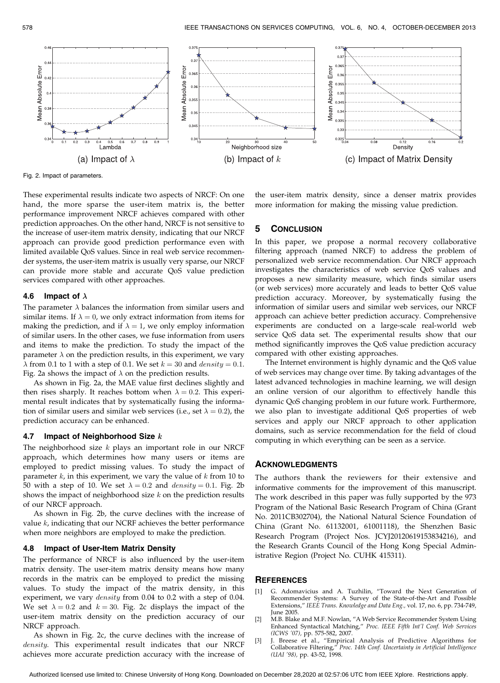

Fig. 2. Impact of parameters.

These experimental results indicate two aspects of NRCF: On one hand, the more sparse the user-item matrix is, the better performance improvement NRCF achieves compared with other prediction approaches. On the other hand, NRCF is not sensitive to the increase of user-item matrix density, indicating that our NRCF approach can provide good prediction performance even with limited available QoS values. Since in real web service recommender systems, the user-item matrix is usually very sparse, our NRCF can provide more stable and accurate QoS value prediction services compared with other approaches.

# 4.6 Impact of  $\lambda$

The parameter  $\lambda$  balances the information from similar users and similar items. If  $\lambda = 0$ , we only extract information from items for making the prediction, and if  $\lambda = 1$ , we only employ information of similar users. In the other cases, we fuse information from users and items to make the prediction. To study the impact of the parameter  $\lambda$  on the prediction results, in this experiment, we vary  $\lambda$  from 0.1 to 1 with a step of 0.1. We set  $k = 30$  and  $density = 0.1$ . Fig. 2a shows the impact of  $\lambda$  on the prediction results.

As shown in Fig. 2a, the MAE value first declines slightly and then rises sharply. It reaches bottom when  $\lambda = 0.2$ . This experimental result indicates that by systematically fusing the information of similar users and similar web services (i.e., set  $\lambda = 0.2$ ), the prediction accuracy can be enhanced.

### 4.7 Impact of Neighborhood Size  $k$

The neighborhood size  $k$  plays an important role in our NRCF approach, which determines how many users or items are employed to predict missing values. To study the impact of parameter  $k$ , in this experiment, we vary the value of  $k$  from 10 to 50 with a step of 10. We set  $\lambda = 0.2$  and  $density = 0.1$ . Fig. 2b shows the impact of neighborhood size  $k$  on the prediction results of our NRCF approach.

As shown in Fig. 2b, the curve declines with the increase of value  $k$ , indicating that our NCRF achieves the better performance when more neighbors are employed to make the prediction.

# 4.8 Impact of User-Item Matrix Density

The performance of NRCF is also influenced by the user-item matrix density. The user-item matrix density means how many records in the matrix can be employed to predict the missing values. To study the impact of the matrix density, in this experiment, we vary *density* from 0.04 to 0.2 with a step of 0.04. We set  $\lambda = 0.2$  and  $k = 30$ . Fig. 2c displays the impact of the user-item matrix density on the prediction accuracy of our NRCF approach.

As shown in Fig. 2c, the curve declines with the increase of density. This experimental result indicates that our NRCF achieves more accurate prediction accuracy with the increase of the user-item matrix density, since a denser matrix provides more information for making the missing value prediction.

# 5 CONCLUSION

In this paper, we propose a normal recovery collaborative filtering approach (named NRCF) to address the problem of personalized web service recommendation. Our NRCF approach investigates the characteristics of web service QoS values and proposes a new similarity measure, which finds similar users (or web services) more accurately and leads to better QoS value prediction accuracy. Moreover, by systematically fusing the information of similar users and similar web services, our NRCF approach can achieve better prediction accuracy. Comprehensive experiments are conducted on a large-scale real-world web service QoS data set. The experimental results show that our method significantly improves the QoS value prediction accuracy compared with other existing approaches.

The Internet environment is highly dynamic and the QoS value of web services may change over time. By taking advantages of the latest advanced technologies in machine learning, we will design an online version of our algorithm to effectively handle this dynamic QoS changing problem in our future work. Furthermore, we also plan to investigate additional QoS properties of web services and apply our NRCF approach to other application domains, such as service recommendation for the field of cloud computing in which everything can be seen as a service.

# ACKNOWLEDGMENTS

The authors thank the reviewers for their extensive and informative comments for the improvement of this manuscript. The work described in this paper was fully supported by the 973 Program of the National Basic Research Program of China (Grant No. 2011CB302704), the National Natural Science Foundation of China (Grant No. 61132001, 61001118), the Shenzhen Basic Research Program (Project Nos. JCYJ20120619153834216), and the Research Grants Council of the Hong Kong Special Administrative Region (Project No. CUHK 415311).

# **REFERENCES**

- [1] G. Adomavicius and A. Tuzhilin, "Toward the Next Generation of Recommender Systems: A Survey of the State-of-the-Art and Possible Extensions," IEEE Trans. Knowledge and Data Eng., vol. 17, no. 6, pp. 734-749, June 2005.
- [2] M.B. Blake and M.F. Nowlan, "A Web Service Recommender System Using Enhanced Syntactical Matching," Proc. IEEE Fifth Int'l Conf. Web Services
- (ICWS '07), pp. 575-582, 2007. [3] J. Breese et al., "Empirical Analysis of Predictive Algorithms for Collaborative Filtering," Proc. 14th Conf. Uncertainty in Artificial Intelligence (UAI '98), pp. 43-52, 1998.